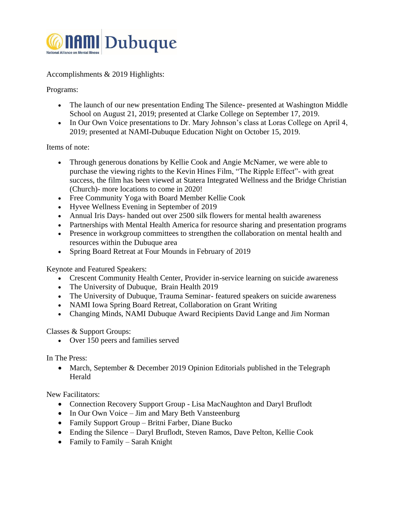

Accomplishments & 2019 Highlights:

Programs:

- The launch of our new presentation Ending The Silence- presented at Washington Middle School on August 21, 2019; presented at Clarke College on September 17, 2019.
- In Our Own Voice presentations to Dr. Mary Johnson's class at Loras College on April 4, 2019; presented at NAMI-Dubuque Education Night on October 15, 2019.

## Items of note:

- Through generous donations by Kellie Cook and Angie McNamer, we were able to purchase the viewing rights to the Kevin Hines Film, "The Ripple Effect"- with great success, the film has been viewed at Statera Integrated Wellness and the Bridge Christian (Church)- more locations to come in 2020!
- Free Community Yoga with Board Member Kellie Cook
- Hyvee Wellness Evening in September of 2019
- Annual Iris Days- handed out over 2500 silk flowers for mental health awareness
- Partnerships with Mental Health America for resource sharing and presentation programs
- Presence in workgroup committees to strengthen the collaboration on mental health and resources within the Dubuque area
- Spring Board Retreat at Four Mounds in February of 2019

Keynote and Featured Speakers:

- Crescent Community Health Center, Provider in-service learning on suicide awareness
- The University of Dubuque, Brain Health 2019
- The University of Dubuque, Trauma Seminar-featured speakers on suicide awareness
- NAMI Iowa Spring Board Retreat, Collaboration on Grant Writing
- Changing Minds, NAMI Dubuque Award Recipients David Lange and Jim Norman

## Classes & Support Groups:

• Over 150 peers and families served

In The Press:

• March, September & December 2019 Opinion Editorials published in the Telegraph Herald

New Facilitators:

- Connection Recovery Support Group Lisa MacNaughton and Daryl Bruflodt
- In Our Own Voice Jim and Mary Beth Vansteenburg
- Family Support Group Britni Farber, Diane Bucko
- Ending the Silence Daryl Bruflodt, Steven Ramos, Dave Pelton, Kellie Cook
- Family to Family Sarah Knight